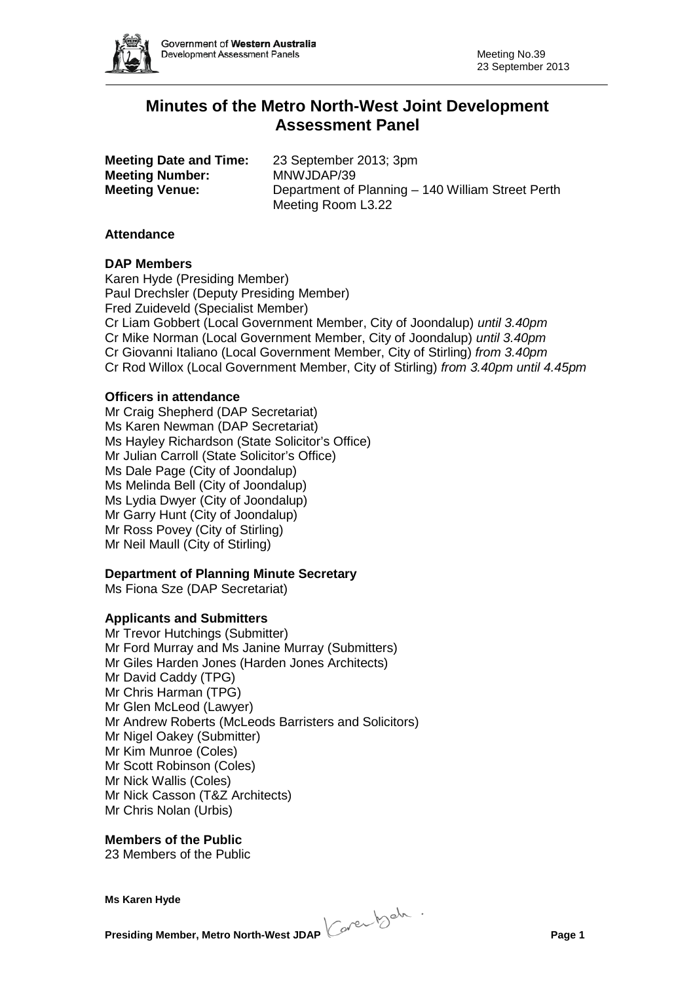

# **Minutes of the Metro North-West Joint Development Assessment Panel**

**Meeting Number:** 

**Meeting Date and Time:** 23 September 2013; 3pm<br>**Meeting Number:** MNWJDAP/39 **Meeting Venue:** Department of Planning – 140 William Street Perth Meeting Room L3.22

## **Attendance**

### **DAP Members**

Karen Hyde (Presiding Member) Paul Drechsler (Deputy Presiding Member) Fred Zuideveld (Specialist Member) Cr Liam Gobbert (Local Government Member, City of Joondalup) *until 3.40pm* Cr Mike Norman (Local Government Member, City of Joondalup) *until 3.40pm* Cr Giovanni Italiano (Local Government Member, City of Stirling) *from 3.40pm* Cr Rod Willox (Local Government Member, City of Stirling) *from 3.40pm until 4.45pm*

### **Officers in attendance**

Mr Craig Shepherd (DAP Secretariat) Ms Karen Newman (DAP Secretariat) Ms Hayley Richardson (State Solicitor's Office) Mr Julian Carroll (State Solicitor's Office) Ms Dale Page (City of Joondalup) Ms Melinda Bell (City of Joondalup) Ms Lydia Dwyer (City of Joondalup) Mr Garry Hunt (City of Joondalup) Mr Ross Povey (City of Stirling) Mr Neil Maull (City of Stirling)

## **Department of Planning Minute Secretary**

Ms Fiona Sze (DAP Secretariat)

#### **Applicants and Submitters**

Mr Trevor Hutchings (Submitter) Mr Ford Murray and Ms Janine Murray (Submitters) Mr Giles Harden Jones (Harden Jones Architects) Mr David Caddy (TPG) Mr Chris Harman (TPG) Mr Glen McLeod (Lawyer) Mr Andrew Roberts (McLeods Barristers and Solicitors) Mr Nigel Oakey (Submitter) Mr Kim Munroe (Coles) Mr Scott Robinson (Coles) Mr Nick Wallis (Coles) Mr Nick Casson (T&Z Architects) Mr Chris Nolan (Urbis)

## **Members of the Public**

23 Members of the Public

**Presiding Member, Metro North-West JDAP Page 1**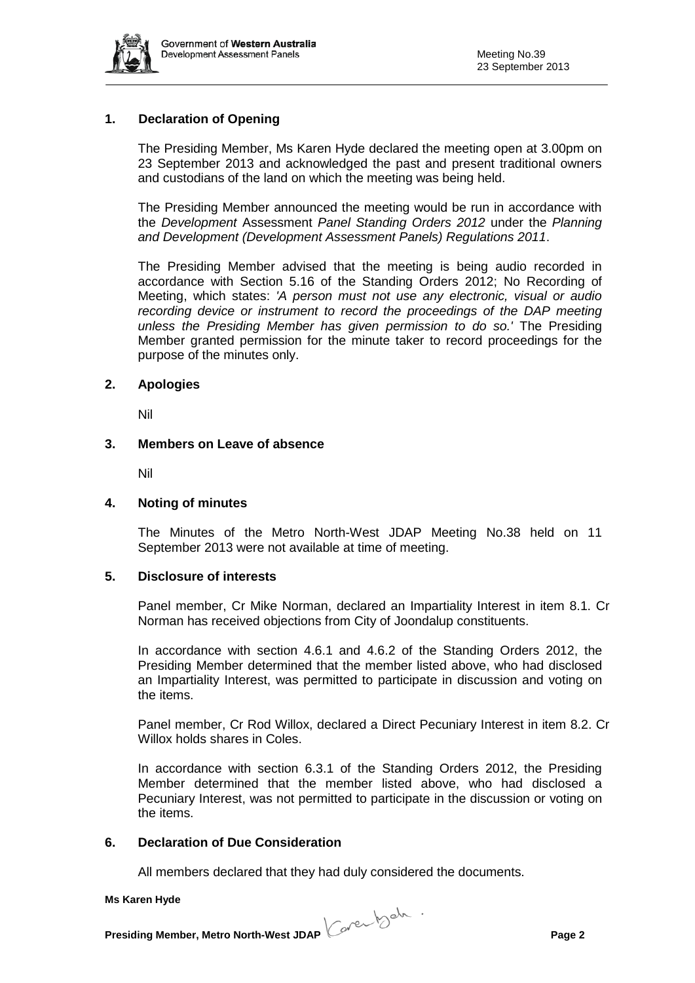

## **1. Declaration of Opening**

The Presiding Member, Ms Karen Hyde declared the meeting open at 3.00pm on 23 September 2013 and acknowledged the past and present traditional owners and custodians of the land on which the meeting was being held.

The Presiding Member announced the meeting would be run in accordance with the *Development* Assessment *Panel Standing Orders 2012* under the *Planning and Development (Development Assessment Panels) Regulations 2011*.

The Presiding Member advised that the meeting is being audio recorded in accordance with Section 5.16 of the Standing Orders 2012; No Recording of Meeting, which states: *'A person must not use any electronic, visual or audio recording device or instrument to record the proceedings of the DAP meeting unless the Presiding Member has given permission to do so.'* The Presiding Member granted permission for the minute taker to record proceedings for the purpose of the minutes only.

### **2. Apologies**

Nil

#### **3. Members on Leave of absence**

Nil

#### **4. Noting of minutes**

The Minutes of the Metro North-West JDAP Meeting No.38 held on 11 September 2013 were not available at time of meeting.

#### **5. Disclosure of interests**

Panel member, Cr Mike Norman, declared an Impartiality Interest in item 8.1. Cr Norman has received objections from City of Joondalup constituents.

In accordance with section 4.6.1 and 4.6.2 of the Standing Orders 2012, the Presiding Member determined that the member listed above, who had disclosed an Impartiality Interest, was permitted to participate in discussion and voting on the items.

Panel member, Cr Rod Willox, declared a Direct Pecuniary Interest in item 8.2. Cr Willox holds shares in Coles.

In accordance with section 6.3.1 of the Standing Orders 2012, the Presiding Member determined that the member listed above, who had disclosed a Pecuniary Interest, was not permitted to participate in the discussion or voting on the items.

## **6. Declaration of Due Consideration**

All members declared that they had duly considered the documents.

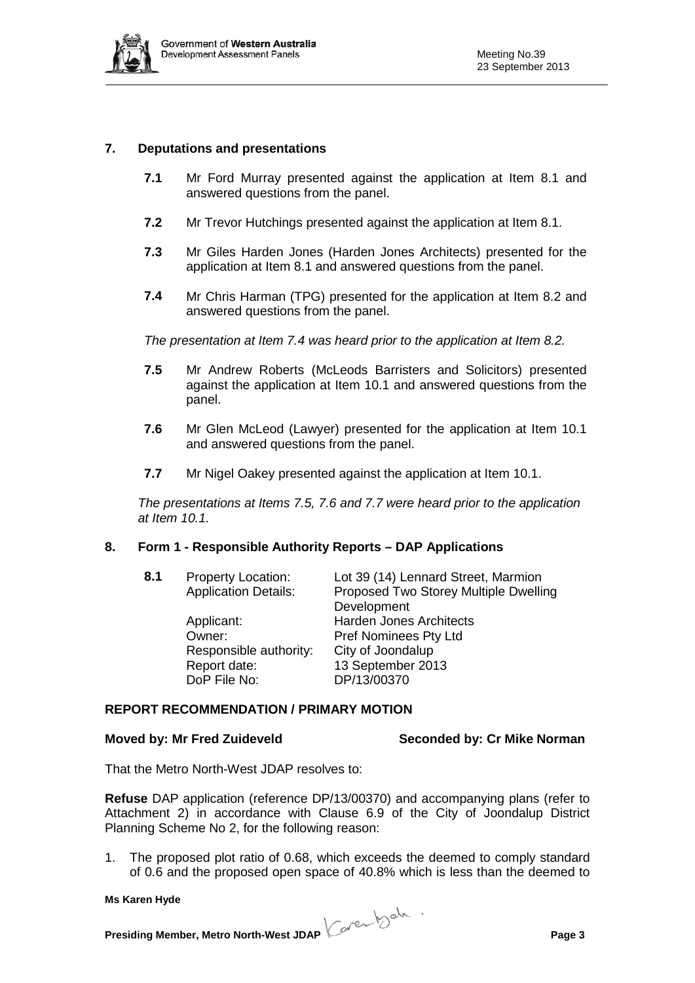

## **7. Deputations and presentations**

- **7.1** Mr Ford Murray presented against the application at Item 8.1 and answered questions from the panel.
- **7.2** Mr Trevor Hutchings presented against the application at Item 8.1.
- **7.3** Mr Giles Harden Jones (Harden Jones Architects) presented for the application at Item 8.1 and answered questions from the panel.
- **7.4** Mr Chris Harman (TPG) presented for the application at Item 8.2 and answered questions from the panel.

*The presentation at Item 7.4 was heard prior to the application at Item 8.2.*

- **7.5** Mr Andrew Roberts (McLeods Barristers and Solicitors) presented against the application at Item 10.1 and answered questions from the panel.
- **7.6** Mr Glen McLeod (Lawyer) presented for the application at Item 10.1 and answered questions from the panel.
- **7.7** Mr Nigel Oakey presented against the application at Item 10.1.

*The presentations at Items 7.5, 7.6 and 7.7 were heard prior to the application at Item 10.1.*

## **8. Form 1 - Responsible Authority Reports – DAP Applications**

| 8.1 | <b>Property Location:</b>   | Lot 39 (14) Lennard Street, Marmion   |
|-----|-----------------------------|---------------------------------------|
|     | <b>Application Details:</b> | Proposed Two Storey Multiple Dwelling |
|     |                             | Development                           |
|     | Applicant:                  | <b>Harden Jones Architects</b>        |
|     | Owner:                      | Pref Nominees Pty Ltd                 |
|     | Responsible authority:      | City of Joondalup                     |
|     | Report date:                | 13 September 2013                     |
|     | DoP File No:                | DP/13/00370                           |

#### **REPORT RECOMMENDATION / PRIMARY MOTION**

**Moved by: Mr Fred Zuideveld Seconded by: Cr Mike Norman**

That the Metro North-West JDAP resolves to:

**Refuse** DAP application (reference DP/13/00370) and accompanying plans (refer to Attachment 2) in accordance with Clause 6.9 of the City of Joondalup District Planning Scheme No 2, for the following reason:

1. The proposed plot ratio of 0.68, which exceeds the deemed to comply standard of 0.6 and the proposed open space of 40.8% which is less than the deemed to

**Presiding Member, Metro North-West JDAP Page 3**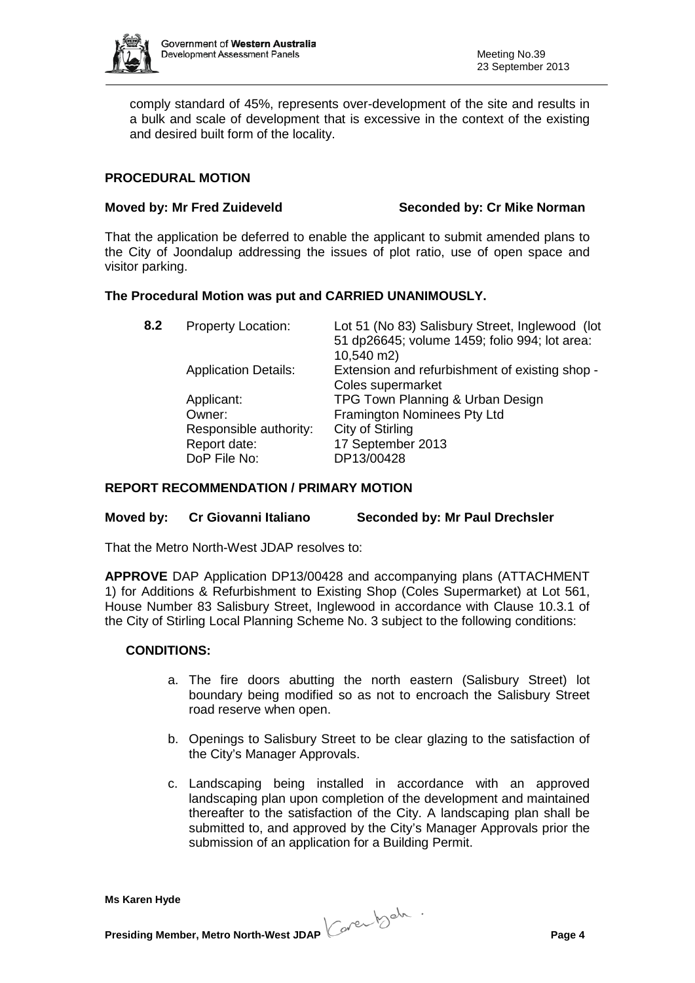

comply standard of 45%, represents over-development of the site and results in a bulk and scale of development that is excessive in the context of the existing and desired built form of the locality.

## **PROCEDURAL MOTION**

**Moved by: Mr Fred Zuideveld Seconded by: Cr Mike Norman**

That the application be deferred to enable the applicant to submit amended plans to the City of Joondalup addressing the issues of plot ratio, use of open space and visitor parking.

## **The Procedural Motion was put and CARRIED UNANIMOUSLY.**

| 8.2 | <b>Property Location:</b>                                                      | Lot 51 (No 83) Salisbury Street, Inglewood (lot<br>51 dp26645; volume 1459; folio 994; lot area:<br>10,540 m2)         |
|-----|--------------------------------------------------------------------------------|------------------------------------------------------------------------------------------------------------------------|
|     | <b>Application Details:</b>                                                    | Extension and refurbishment of existing shop -<br>Coles supermarket                                                    |
|     | Applicant:<br>Owner:<br>Responsible authority:<br>Report date:<br>DoP File No: | TPG Town Planning & Urban Design<br>Framington Nominees Pty Ltd<br>City of Stirling<br>17 September 2013<br>DP13/00428 |

#### **REPORT RECOMMENDATION / PRIMARY MOTION**

#### **Moved by: Cr Giovanni Italiano Seconded by: Mr Paul Drechsler**

That the Metro North-West JDAP resolves to:

**APPROVE** DAP Application DP13/00428 and accompanying plans (ATTACHMENT 1) for Additions & Refurbishment to Existing Shop (Coles Supermarket) at Lot 561, House Number 83 Salisbury Street, Inglewood in accordance with Clause 10.3.1 of the City of Stirling Local Planning Scheme No. 3 subject to the following conditions:

#### **CONDITIONS:**

- a. The fire doors abutting the north eastern (Salisbury Street) lot boundary being modified so as not to encroach the Salisbury Street road reserve when open.
- b. Openings to Salisbury Street to be clear glazing to the satisfaction of the City's Manager Approvals.
- c. Landscaping being installed in accordance with an approved landscaping plan upon completion of the development and maintained thereafter to the satisfaction of the City. A landscaping plan shall be submitted to, and approved by the City's Manager Approvals prior the submission of an application for a Building Permit.

**Presiding Member, Metro North-West JDAP Page 4**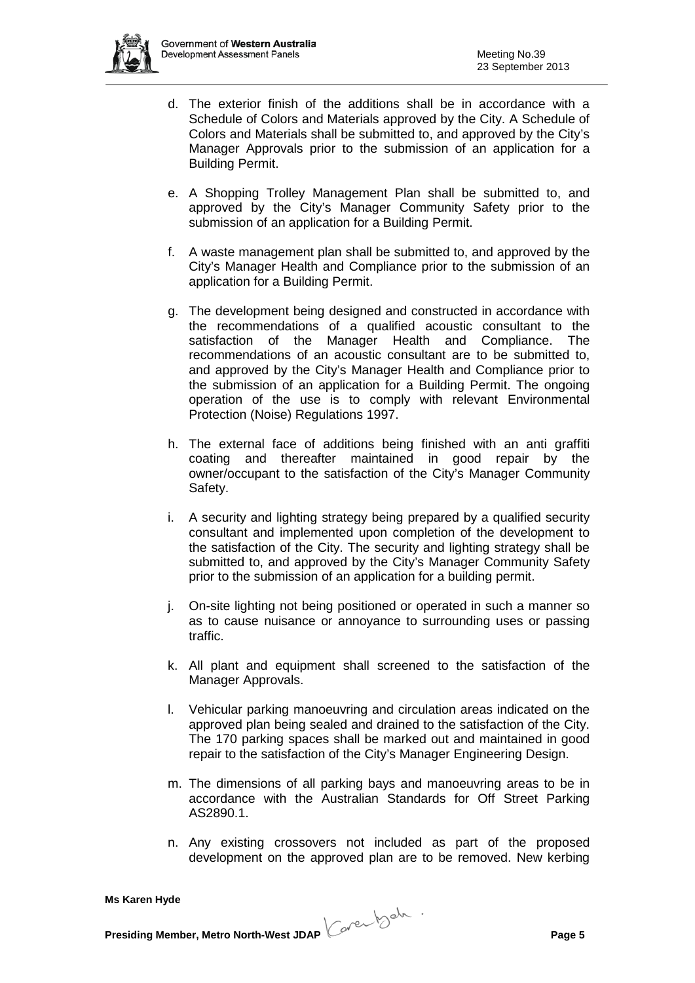- d. The exterior finish of the additions shall be in accordance with a Schedule of Colors and Materials approved by the City. A Schedule of Colors and Materials shall be submitted to, and approved by the City's Manager Approvals prior to the submission of an application for a Building Permit.
- e. A Shopping Trolley Management Plan shall be submitted to, and approved by the City's Manager Community Safety prior to the submission of an application for a Building Permit.
- f. A waste management plan shall be submitted to, and approved by the City's Manager Health and Compliance prior to the submission of an application for a Building Permit.
- g. The development being designed and constructed in accordance with the recommendations of a qualified acoustic consultant to the satisfaction of the Manager Health and Compliance. The recommendations of an acoustic consultant are to be submitted to, and approved by the City's Manager Health and Compliance prior to the submission of an application for a Building Permit. The ongoing operation of the use is to comply with relevant Environmental Protection (Noise) Regulations 1997.
- h. The external face of additions being finished with an anti graffiti coating and thereafter maintained in good repair by the owner/occupant to the satisfaction of the City's Manager Community Safety.
- i. A security and lighting strategy being prepared by a qualified security consultant and implemented upon completion of the development to the satisfaction of the City. The security and lighting strategy shall be submitted to, and approved by the City's Manager Community Safety prior to the submission of an application for a building permit.
- j. On-site lighting not being positioned or operated in such a manner so as to cause nuisance or annoyance to surrounding uses or passing traffic.
- k. All plant and equipment shall screened to the satisfaction of the Manager Approvals.
- l. Vehicular parking manoeuvring and circulation areas indicated on the approved plan being sealed and drained to the satisfaction of the City. The 170 parking spaces shall be marked out and maintained in good repair to the satisfaction of the City's Manager Engineering Design.
- m. The dimensions of all parking bays and manoeuvring areas to be in accordance with the Australian Standards for Off Street Parking AS2890.1.
- n. Any existing crossovers not included as part of the proposed development on the approved plan are to be removed. New kerbing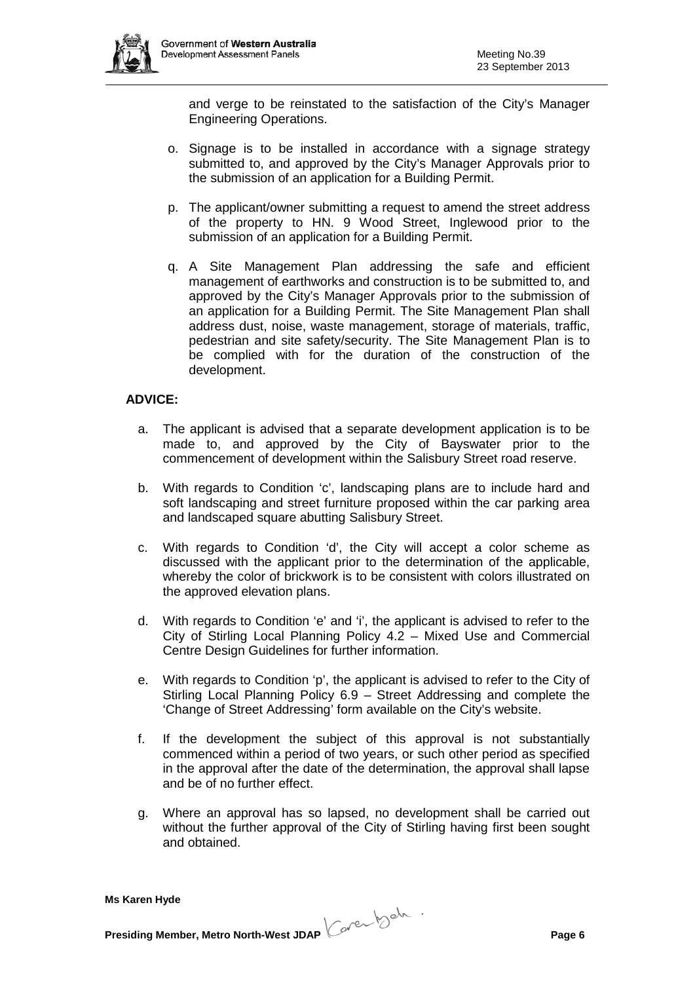

and verge to be reinstated to the satisfaction of the City's Manager Engineering Operations.

- o. Signage is to be installed in accordance with a signage strategy submitted to, and approved by the City's Manager Approvals prior to the submission of an application for a Building Permit.
- p. The applicant/owner submitting a request to amend the street address of the property to HN. 9 Wood Street, Inglewood prior to the submission of an application for a Building Permit.
- q. A Site Management Plan addressing the safe and efficient management of earthworks and construction is to be submitted to, and approved by the City's Manager Approvals prior to the submission of an application for a Building Permit. The Site Management Plan shall address dust, noise, waste management, storage of materials, traffic, pedestrian and site safety/security. The Site Management Plan is to be complied with for the duration of the construction of the development.

## **ADVICE:**

- a. The applicant is advised that a separate development application is to be made to, and approved by the City of Bayswater prior to the commencement of development within the Salisbury Street road reserve.
- b. With regards to Condition 'c', landscaping plans are to include hard and soft landscaping and street furniture proposed within the car parking area and landscaped square abutting Salisbury Street.
- c. With regards to Condition 'd', the City will accept a color scheme as discussed with the applicant prior to the determination of the applicable, whereby the color of brickwork is to be consistent with colors illustrated on the approved elevation plans.
- d. With regards to Condition 'e' and 'i', the applicant is advised to refer to the City of Stirling Local Planning Policy 4.2 – Mixed Use and Commercial Centre Design Guidelines for further information.
- e. With regards to Condition 'p', the applicant is advised to refer to the City of Stirling Local Planning Policy 6.9 – Street Addressing and complete the 'Change of Street Addressing' form available on the City's website.
- f. If the development the subject of this approval is not substantially commenced within a period of two years, or such other period as specified in the approval after the date of the determination, the approval shall lapse and be of no further effect.
- g. Where an approval has so lapsed, no development shall be carried out without the further approval of the City of Stirling having first been sought and obtained.

**Presiding Member, Metro North-West JDAP Page 6**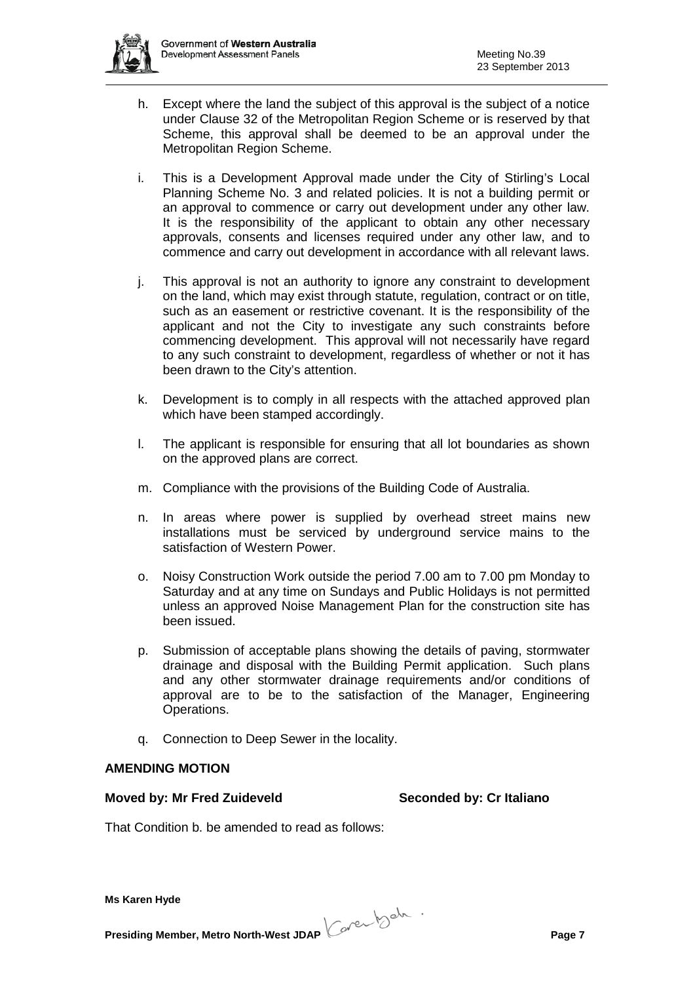- h. Except where the land the subject of this approval is the subject of a notice under Clause 32 of the Metropolitan Region Scheme or is reserved by that Scheme, this approval shall be deemed to be an approval under the Metropolitan Region Scheme.
- i. This is a Development Approval made under the City of Stirling's Local Planning Scheme No. 3 and related policies. It is not a building permit or an approval to commence or carry out development under any other law. It is the responsibility of the applicant to obtain any other necessary approvals, consents and licenses required under any other law, and to commence and carry out development in accordance with all relevant laws.
- j. This approval is not an authority to ignore any constraint to development on the land, which may exist through statute, regulation, contract or on title, such as an easement or restrictive covenant. It is the responsibility of the applicant and not the City to investigate any such constraints before commencing development. This approval will not necessarily have regard to any such constraint to development, regardless of whether or not it has been drawn to the City's attention.
- k. Development is to comply in all respects with the attached approved plan which have been stamped accordingly.
- l. The applicant is responsible for ensuring that all lot boundaries as shown on the approved plans are correct.
- m. Compliance with the provisions of the Building Code of Australia.
- n. In areas where power is supplied by overhead street mains new installations must be serviced by underground service mains to the satisfaction of Western Power.
- o. Noisy Construction Work outside the period 7.00 am to 7.00 pm Monday to Saturday and at any time on Sundays and Public Holidays is not permitted unless an approved Noise Management Plan for the construction site has been issued.
- p. Submission of acceptable plans showing the details of paving, stormwater drainage and disposal with the Building Permit application. Such plans and any other stormwater drainage requirements and/or conditions of approval are to be to the satisfaction of the Manager, Engineering Operations.
- q. Connection to Deep Sewer in the locality.

## **AMENDING MOTION**

#### **Moved by: Mr Fred Zuideveld Seconded by: Cr Italiano**

That Condition b. be amended to read as follows:

**Presiding Member, Metro North-West JDAP Page 7**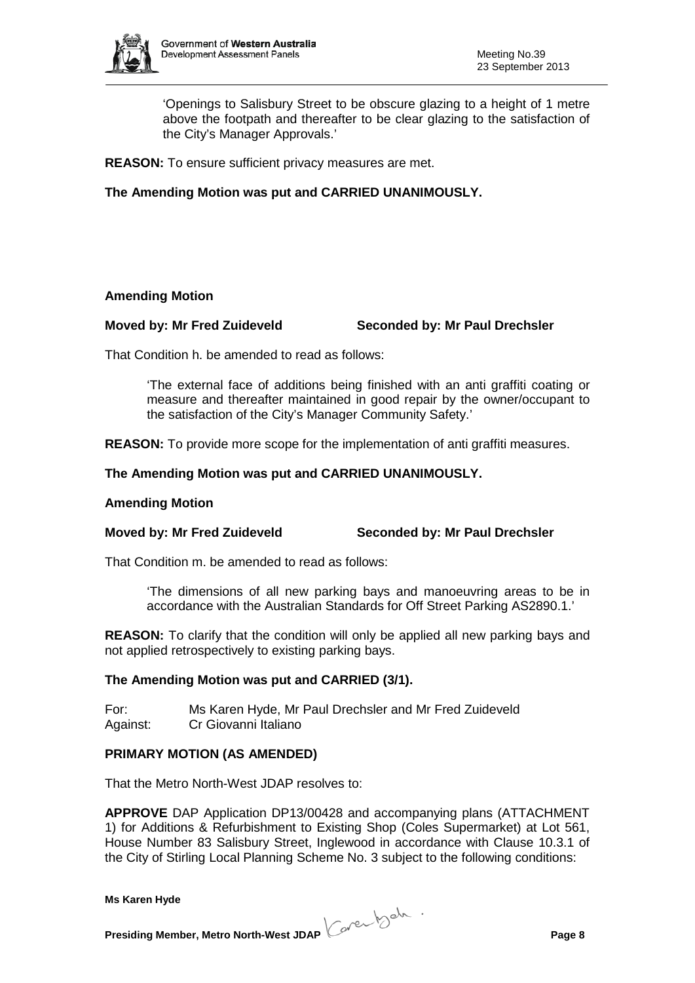

'Openings to Salisbury Street to be obscure glazing to a height of 1 metre above the footpath and thereafter to be clear glazing to the satisfaction of the City's Manager Approvals.'

**REASON:** To ensure sufficient privacy measures are met.

**The Amending Motion was put and CARRIED UNANIMOUSLY.**

### **Amending Motion**

### **Moved by: Mr Fred Zuideveld Seconded by: Mr Paul Drechsler**

That Condition h. be amended to read as follows:

'The external face of additions being finished with an anti graffiti coating or measure and thereafter maintained in good repair by the owner/occupant to the satisfaction of the City's Manager Community Safety.'

**REASON:** To provide more scope for the implementation of anti graffiti measures.

### **The Amending Motion was put and CARRIED UNANIMOUSLY.**

#### **Amending Motion**

#### **Moved by: Mr Fred Zuideveld Seconded by: Mr Paul Drechsler**

That Condition m. be amended to read as follows:

'The dimensions of all new parking bays and manoeuvring areas to be in accordance with the Australian Standards for Off Street Parking AS2890.1.'

**REASON:** To clarify that the condition will only be applied all new parking bays and not applied retrospectively to existing parking bays.

#### **The Amending Motion was put and CARRIED (3/1).**

For: Ms Karen Hyde, Mr Paul Drechsler and Mr Fred Zuideveld Against: Cr Giovanni Italiano

#### **PRIMARY MOTION (AS AMENDED)**

That the Metro North-West JDAP resolves to:

**APPROVE** DAP Application DP13/00428 and accompanying plans (ATTACHMENT 1) for Additions & Refurbishment to Existing Shop (Coles Supermarket) at Lot 561, House Number 83 Salisbury Street, Inglewood in accordance with Clause 10.3.1 of the City of Stirling Local Planning Scheme No. 3 subject to the following conditions:

**Presiding Member, Metro North-West JDAP Page 8**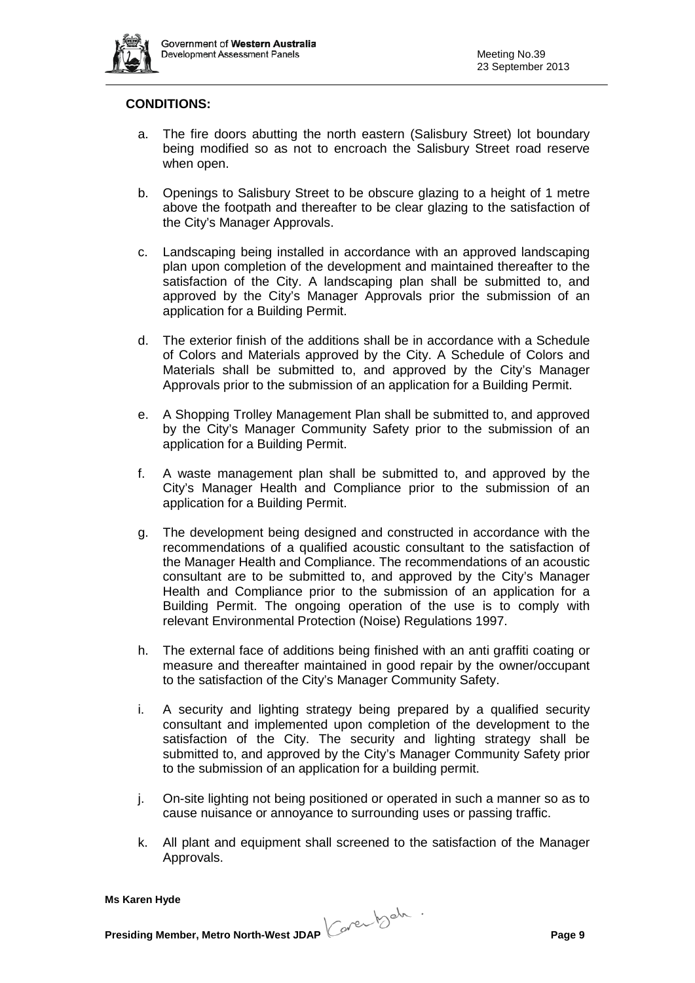

## **CONDITIONS:**

- a. The fire doors abutting the north eastern (Salisbury Street) lot boundary being modified so as not to encroach the Salisbury Street road reserve when open.
- b. Openings to Salisbury Street to be obscure glazing to a height of 1 metre above the footpath and thereafter to be clear glazing to the satisfaction of the City's Manager Approvals.
- c. Landscaping being installed in accordance with an approved landscaping plan upon completion of the development and maintained thereafter to the satisfaction of the City. A landscaping plan shall be submitted to, and approved by the City's Manager Approvals prior the submission of an application for a Building Permit.
- d. The exterior finish of the additions shall be in accordance with a Schedule of Colors and Materials approved by the City. A Schedule of Colors and Materials shall be submitted to, and approved by the City's Manager Approvals prior to the submission of an application for a Building Permit.
- e. A Shopping Trolley Management Plan shall be submitted to, and approved by the City's Manager Community Safety prior to the submission of an application for a Building Permit.
- f. A waste management plan shall be submitted to, and approved by the City's Manager Health and Compliance prior to the submission of an application for a Building Permit.
- g. The development being designed and constructed in accordance with the recommendations of a qualified acoustic consultant to the satisfaction of the Manager Health and Compliance. The recommendations of an acoustic consultant are to be submitted to, and approved by the City's Manager Health and Compliance prior to the submission of an application for a Building Permit. The ongoing operation of the use is to comply with relevant Environmental Protection (Noise) Regulations 1997.
- h. The external face of additions being finished with an anti graffiti coating or measure and thereafter maintained in good repair by the owner/occupant to the satisfaction of the City's Manager Community Safety.
- i. A security and lighting strategy being prepared by a qualified security consultant and implemented upon completion of the development to the satisfaction of the City. The security and lighting strategy shall be submitted to, and approved by the City's Manager Community Safety prior to the submission of an application for a building permit.
- j. On-site lighting not being positioned or operated in such a manner so as to cause nuisance or annoyance to surrounding uses or passing traffic.
- k. All plant and equipment shall screened to the satisfaction of the Manager Approvals.

**Presiding Member, Metro North-West JDAP Page 9**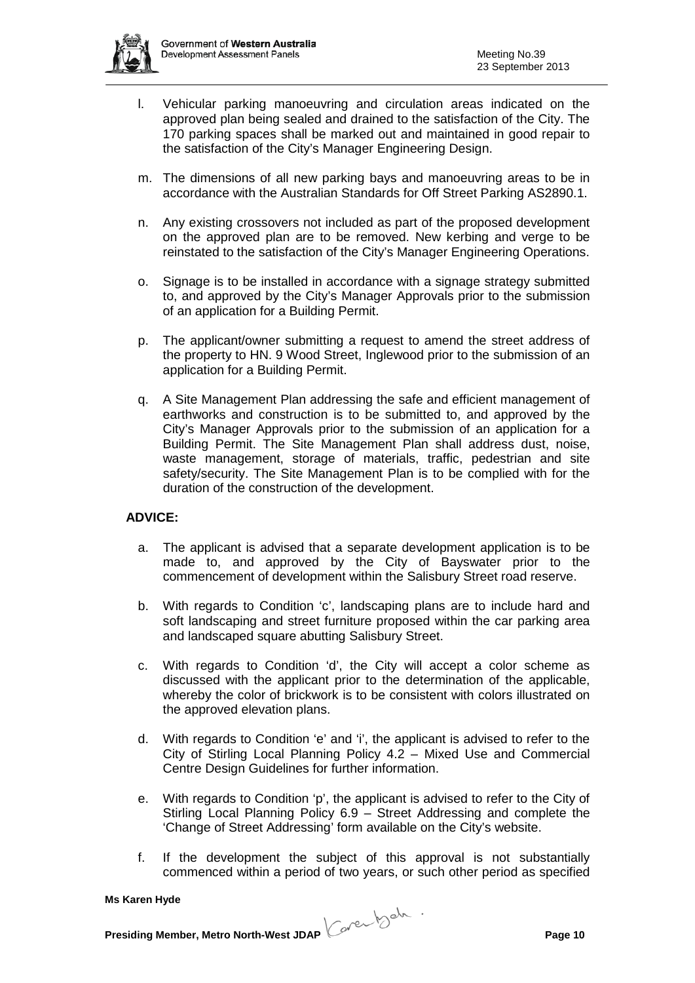

- l. Vehicular parking manoeuvring and circulation areas indicated on the approved plan being sealed and drained to the satisfaction of the City. The 170 parking spaces shall be marked out and maintained in good repair to the satisfaction of the City's Manager Engineering Design.
- m. The dimensions of all new parking bays and manoeuvring areas to be in accordance with the Australian Standards for Off Street Parking AS2890.1.
- n. Any existing crossovers not included as part of the proposed development on the approved plan are to be removed. New kerbing and verge to be reinstated to the satisfaction of the City's Manager Engineering Operations.
- o. Signage is to be installed in accordance with a signage strategy submitted to, and approved by the City's Manager Approvals prior to the submission of an application for a Building Permit.
- p. The applicant/owner submitting a request to amend the street address of the property to HN. 9 Wood Street, Inglewood prior to the submission of an application for a Building Permit.
- q. A Site Management Plan addressing the safe and efficient management of earthworks and construction is to be submitted to, and approved by the City's Manager Approvals prior to the submission of an application for a Building Permit. The Site Management Plan shall address dust, noise, waste management, storage of materials, traffic, pedestrian and site safety/security. The Site Management Plan is to be complied with for the duration of the construction of the development.

## **ADVICE:**

- a. The applicant is advised that a separate development application is to be made to, and approved by the City of Bayswater prior to the commencement of development within the Salisbury Street road reserve.
- b. With regards to Condition 'c', landscaping plans are to include hard and soft landscaping and street furniture proposed within the car parking area and landscaped square abutting Salisbury Street.
- c. With regards to Condition 'd', the City will accept a color scheme as discussed with the applicant prior to the determination of the applicable, whereby the color of brickwork is to be consistent with colors illustrated on the approved elevation plans.
- d. With regards to Condition 'e' and 'i', the applicant is advised to refer to the City of Stirling Local Planning Policy 4.2 – Mixed Use and Commercial Centre Design Guidelines for further information.
- e. With regards to Condition 'p', the applicant is advised to refer to the City of Stirling Local Planning Policy 6.9 – Street Addressing and complete the 'Change of Street Addressing' form available on the City's website.
- f. If the development the subject of this approval is not substantially commenced within a period of two years, or such other period as specified

**Presiding Member, Metro North-West JDAP Page 10**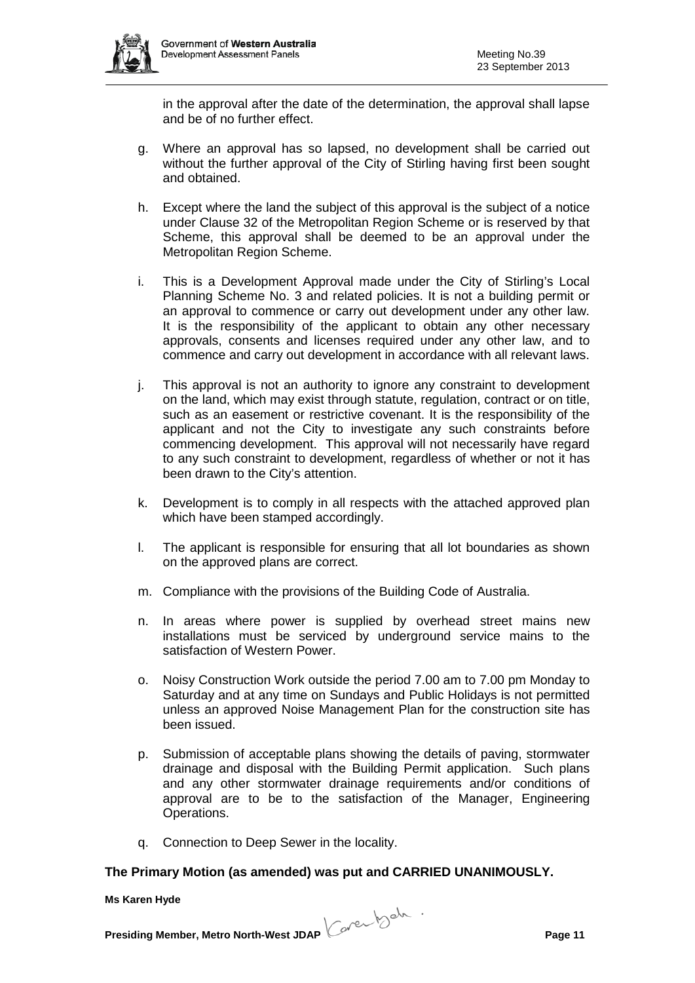

in the approval after the date of the determination, the approval shall lapse and be of no further effect.

- g. Where an approval has so lapsed, no development shall be carried out without the further approval of the City of Stirling having first been sought and obtained.
- h. Except where the land the subject of this approval is the subject of a notice under Clause 32 of the Metropolitan Region Scheme or is reserved by that Scheme, this approval shall be deemed to be an approval under the Metropolitan Region Scheme.
- i. This is a Development Approval made under the City of Stirling's Local Planning Scheme No. 3 and related policies. It is not a building permit or an approval to commence or carry out development under any other law. It is the responsibility of the applicant to obtain any other necessary approvals, consents and licenses required under any other law, and to commence and carry out development in accordance with all relevant laws.
- j. This approval is not an authority to ignore any constraint to development on the land, which may exist through statute, regulation, contract or on title, such as an easement or restrictive covenant. It is the responsibility of the applicant and not the City to investigate any such constraints before commencing development. This approval will not necessarily have regard to any such constraint to development, regardless of whether or not it has been drawn to the City's attention.
- k. Development is to comply in all respects with the attached approved plan which have been stamped accordingly.
- l. The applicant is responsible for ensuring that all lot boundaries as shown on the approved plans are correct.
- m. Compliance with the provisions of the Building Code of Australia.
- n. In areas where power is supplied by overhead street mains new installations must be serviced by underground service mains to the satisfaction of Western Power.
- o. Noisy Construction Work outside the period 7.00 am to 7.00 pm Monday to Saturday and at any time on Sundays and Public Holidays is not permitted unless an approved Noise Management Plan for the construction site has been issued.
- p. Submission of acceptable plans showing the details of paving, stormwater drainage and disposal with the Building Permit application. Such plans and any other stormwater drainage requirements and/or conditions of approval are to be to the satisfaction of the Manager, Engineering Operations.
- q. Connection to Deep Sewer in the locality.

## **The Primary Motion (as amended) was put and CARRIED UNANIMOUSLY.**

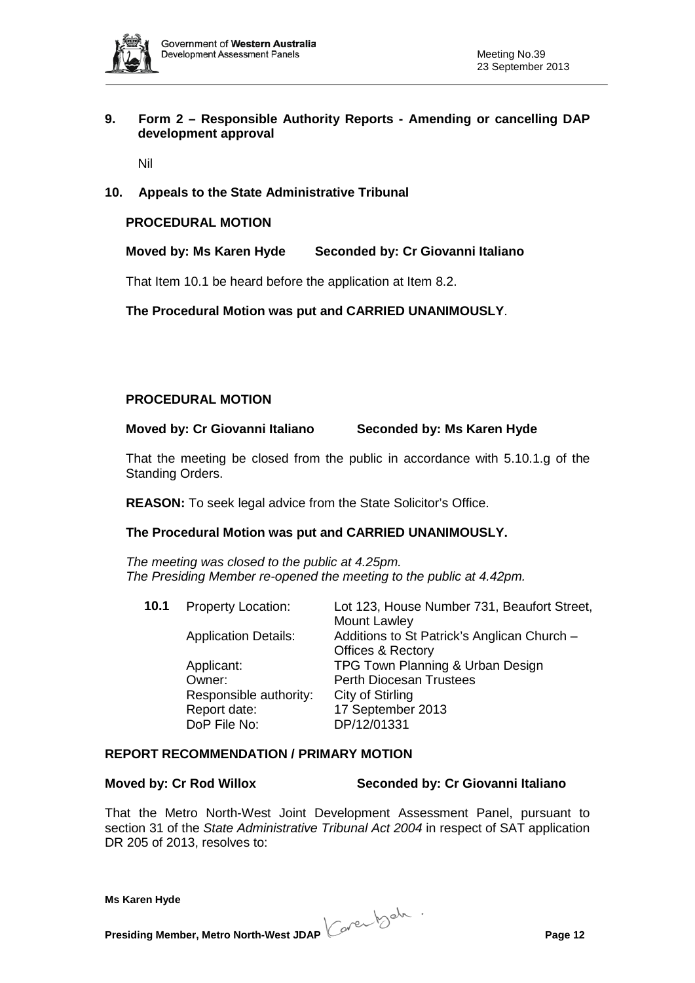

## **9. Form 2 – Responsible Authority Reports - Amending or cancelling DAP development approval**

Nil

## **10. Appeals to the State Administrative Tribunal**

#### **PROCEDURAL MOTION**

**Moved by: Ms Karen Hyde Seconded by: Cr Giovanni Italiano**

That Item 10.1 be heard before the application at Item 8.2.

**The Procedural Motion was put and CARRIED UNANIMOUSLY**.

### **PROCEDURAL MOTION**

**Moved by: Cr Giovanni Italiano Seconded by: Ms Karen Hyde**

That the meeting be closed from the public in accordance with 5.10.1.g of the Standing Orders.

**REASON:** To seek legal advice from the State Solicitor's Office.

#### **The Procedural Motion was put and CARRIED UNANIMOUSLY.**

*The meeting was closed to the public at 4.25pm. The Presiding Member re-opened the meeting to the public at 4.42pm.*

| 10.1 | <b>Property Location:</b>   | Lot 123, House Number 731, Beaufort Street, |
|------|-----------------------------|---------------------------------------------|
|      |                             | Mount Lawley                                |
|      | <b>Application Details:</b> | Additions to St Patrick's Anglican Church - |
|      |                             | <b>Offices &amp; Rectory</b>                |
|      | Applicant:                  | TPG Town Planning & Urban Design            |
|      | Owner:                      | <b>Perth Diocesan Trustees</b>              |
|      | Responsible authority:      | City of Stirling                            |
|      | Report date:                | 17 September 2013                           |
|      | DoP File No:                | DP/12/01331                                 |
|      |                             |                                             |

#### **REPORT RECOMMENDATION / PRIMARY MOTION**

#### **Moved by: Cr Rod Willox Seconded by: Cr Giovanni Italiano**

That the Metro North-West Joint Development Assessment Panel, pursuant to

section 31 of the *State Administrative Tribunal Act 2004* in respect of SAT application DR 205 of 2013, resolves to:

**Presiding Member, Metro North-West JDAP Page 12**